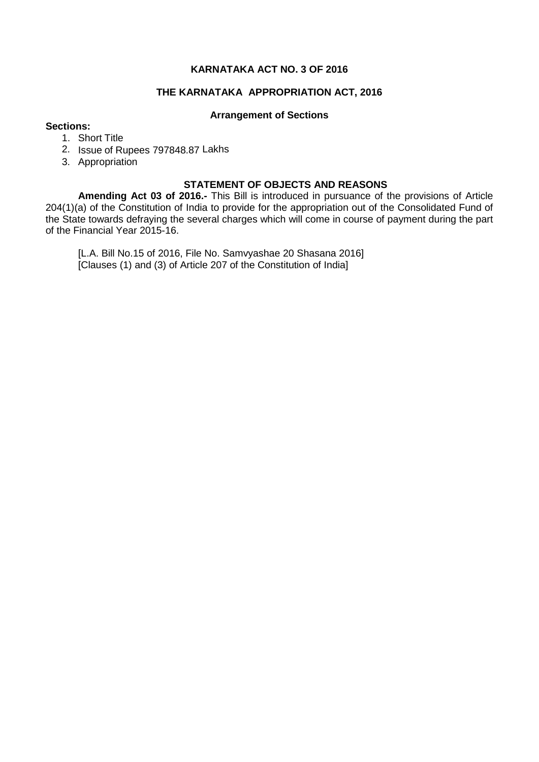## **KARNATAKA ACT NO. 3 OF 2016**

## **THE KARNATAKA APPROPRIATION ACT, 2016**

#### **Arrangement of Sections**

### **Sections:**

- 1. Short Title
- 2. Issue of Rupees 797848.87 Lakhs
- 3. Appropriation

## **STATEMENT OF OBJECTS AND REASONS**

**Amending Act 03 of 2016.-** This Bill is introduced in pursuance of the provisions of Article 204(1)(a) of the Constitution of India to provide for the appropriation out of the Consolidated Fund of the State towards defraying the several charges which will come in course of payment during the part of the Financial Year 2015-16.

[L.A. Bill No.15 of 2016, File No. Samvyashae 20 Shasana 2016] [Clauses (1) and (3) of Article 207 of the Constitution of India]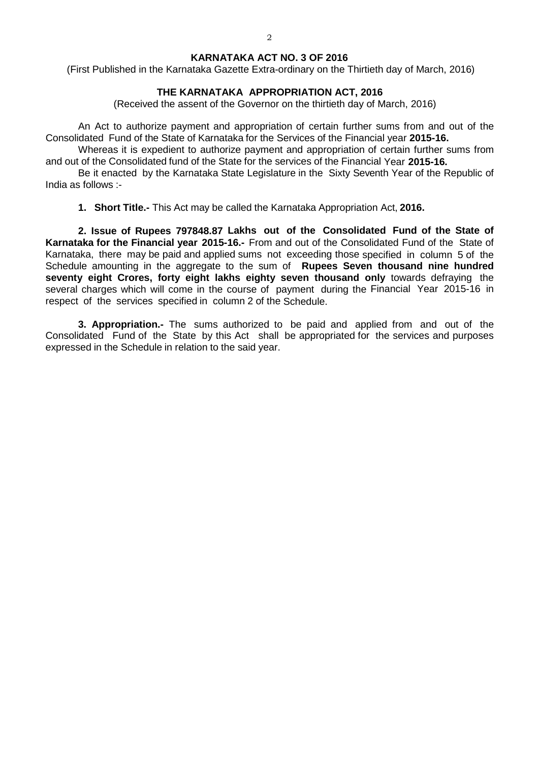#### **KARNATAKA ACT NO. 3 OF 2016**

(First Published in the Karnataka Gazette Extra-ordinary on the Thirtieth day of March, 2016)

#### **THE KARNATAKA APPROPRIATION ACT, 2016**

(Received the assent of the Governor on the thirtieth day of March, 2016)

An Act to authorize payment and appropriation of certain further sums from and out of the Consolidated Fund of the State of Karnataka for the Services of the Financial year **2015-16.**

Whereas it is expedient to authorize payment and appropriation of certain further sums from and out of the Consolidated fund of the State for the services of the Financial Year **2015-16.**

Be it enacted by the Karnataka State Legislature in the Sixty Seventh Year of the Republic of India as follows :-

**1. Short Title.-** This Act may be called the Karnataka Appropriation Act, **2016.**

**2. Issue of Rupees 797848.87 Lakhs out of the Consolidated Fund of the State of Karnataka for the Financial year 2015-16.-** From and out of the Consolidated Fund of the State of Karnataka, there may be paid and applied sums not exceeding those specified in column 5 of the Schedule amounting in the aggregate to the sum of **Rupees Seven thousand nine hundred seventy eight Crores, forty eight lakhs eighty seven thousand only** towards defraying the several charges which will come in the course of payment during the Financial Year 2015-16 in respect of the services specified in column 2 of the Schedule.

**3. Appropriation.-** The sums authorized to be paid and applied from and out of the Consolidated Fund of the State by this Act shall be appropriated for the services and purposes expressed in the Schedule in relation to the said year.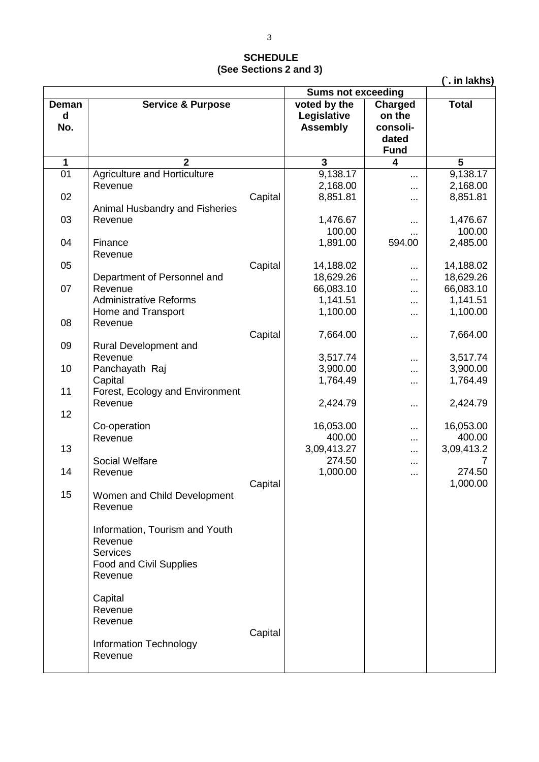# **SCHEDULE (See Sections 2 and 3)**

|  | lakhs) |  |
|--|--------|--|
|  |        |  |

|             |                                  | <b>Sums not exceeding</b> |                 |                |              |
|-------------|----------------------------------|---------------------------|-----------------|----------------|--------------|
| Deman       | <b>Service &amp; Purpose</b>     |                           | voted by the    | <b>Charged</b> | <b>Total</b> |
| $\mathbf d$ |                                  |                           | Legislative     | on the         |              |
| No.         |                                  |                           | <b>Assembly</b> | consoli-       |              |
|             |                                  |                           |                 | dated          |              |
|             |                                  |                           |                 | <b>Fund</b>    |              |
| 1           | $\mathbf{2}$                     |                           | 3               | 4              | 5            |
| 01          | Agriculture and Horticulture     |                           | 9,138.17        | $\cdots$       | 9,138.17     |
|             | Revenue                          |                           | 2,168.00        |                | 2,168.00     |
| 02          |                                  | Capital                   | 8,851.81        |                | 8,851.81     |
|             | Animal Husbandry and Fisheries   |                           |                 |                |              |
| 03          | Revenue                          |                           | 1,476.67        |                | 1,476.67     |
|             |                                  |                           | 100.00          |                | 100.00       |
| 04          | Finance                          |                           | 1,891.00        | 594.00         | 2,485.00     |
|             | Revenue                          |                           |                 |                |              |
| 05          |                                  | Capital                   | 14,188.02       |                | 14,188.02    |
|             | Department of Personnel and      |                           | 18,629.26       | .              | 18,629.26    |
| 07          | Revenue                          |                           | 66,083.10       |                | 66,083.10    |
|             | <b>Administrative Reforms</b>    |                           | 1,141.51        |                | 1,141.51     |
|             | Home and Transport               |                           | 1,100.00        |                | 1,100.00     |
| 08          | Revenue                          |                           |                 |                |              |
| 09          |                                  | Capital                   | 7,664.00        |                | 7,664.00     |
|             | Rural Development and<br>Revenue |                           | 3,517.74        |                | 3,517.74     |
| 10          | Panchayath Raj                   |                           | 3,900.00        |                | 3,900.00     |
|             | Capital                          |                           | 1,764.49        |                | 1,764.49     |
| 11          | Forest, Ecology and Environment  |                           |                 |                |              |
|             | Revenue                          |                           | 2,424.79        |                | 2,424.79     |
| 12          |                                  |                           |                 |                |              |
|             | Co-operation                     |                           | 16,053.00       |                | 16,053.00    |
|             | Revenue                          |                           | 400.00          |                | 400.00       |
| 13          |                                  |                           | 3,09,413.27     |                | 3,09,413.2   |
|             | <b>Social Welfare</b>            |                           | 274.50          | $\cdots$       |              |
| 14          | Revenue                          |                           | 1,000.00        | $\cdots$       | 274.50       |
|             |                                  | Capital                   |                 |                | 1,000.00     |
| 15          | Women and Child Development      |                           |                 |                |              |
|             | Revenue                          |                           |                 |                |              |
|             |                                  |                           |                 |                |              |
|             | Information, Tourism and Youth   |                           |                 |                |              |
|             | Revenue                          |                           |                 |                |              |
|             | <b>Services</b>                  |                           |                 |                |              |
|             | Food and Civil Supplies          |                           |                 |                |              |
|             | Revenue                          |                           |                 |                |              |
|             |                                  |                           |                 |                |              |
|             | Capital<br>Revenue               |                           |                 |                |              |
|             | Revenue                          |                           |                 |                |              |
|             |                                  | Capital                   |                 |                |              |
|             | Information Technology           |                           |                 |                |              |
|             | Revenue                          |                           |                 |                |              |
|             |                                  |                           |                 |                |              |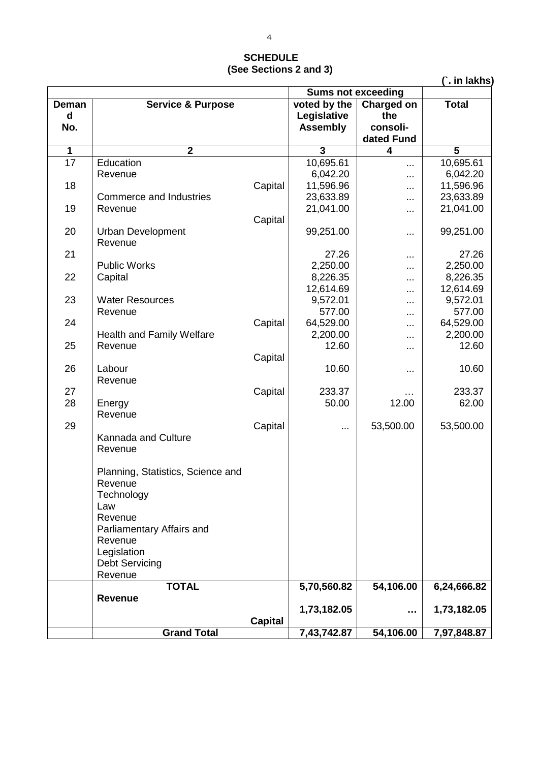## **SCHEDULE (See Sections 2 and 3)**

**(`. in lakhs)**

|                 |                                      | <b>Sums not exceeding</b> |                 |            |              |
|-----------------|--------------------------------------|---------------------------|-----------------|------------|--------------|
| Deman           | <b>Service &amp; Purpose</b>         |                           | voted by the    | Charged on | <b>Total</b> |
| d               |                                      |                           | Legislative     | the        |              |
| No.             |                                      |                           | <b>Assembly</b> | consoli-   |              |
|                 |                                      |                           |                 | dated Fund |              |
| 1               | $\overline{2}$                       |                           | 3               | 4          | 5            |
| $\overline{17}$ | Education                            |                           | 10,695.61       | $\cdots$   | 10,695.61    |
|                 | Revenue                              |                           | 6,042.20        |            | 6,042.20     |
| 18              |                                      | Capital                   | 11,596.96       | $\cdots$   | 11,596.96    |
|                 | <b>Commerce and Industries</b>       |                           | 23,633.89       |            | 23,633.89    |
| 19              | Revenue                              |                           | 21,041.00       | $\cdots$   | 21,041.00    |
|                 |                                      | Capital                   |                 |            |              |
| 20              | <b>Urban Development</b>             |                           | 99,251.00       | $\cdots$   | 99,251.00    |
|                 | Revenue                              |                           |                 |            |              |
| 21              |                                      |                           | 27.26           | $\cdots$   | 27.26        |
|                 | <b>Public Works</b>                  |                           | 2,250.00        | $\cdots$   | 2,250.00     |
| 22              | Capital                              |                           | 8,226.35        |            | 8,226.35     |
|                 |                                      |                           | 12,614.69       |            | 12,614.69    |
| 23              | <b>Water Resources</b>               |                           | 9,572.01        |            | 9,572.01     |
|                 | Revenue                              |                           | 577.00          |            | 577.00       |
| 24              |                                      | Capital                   | 64,529.00       |            | 64,529.00    |
|                 | Health and Family Welfare            |                           | 2,200.00        | $\cdots$   | 2,200.00     |
| 25              | Revenue                              |                           | 12.60           | $\cdots$   | 12.60        |
|                 |                                      | Capital                   |                 |            |              |
| 26              | Labour                               |                           | 10.60           | $\cdots$   | 10.60        |
|                 | Revenue                              |                           |                 |            |              |
| 27              |                                      | Capital                   | 233.37          | .          | 233.37       |
| 28              | Energy                               |                           | 50.00           | 12.00      | 62.00        |
|                 | Revenue                              |                           |                 |            |              |
| 29              |                                      | Capital                   |                 | 53,500.00  | 53,500.00    |
|                 | Kannada and Culture                  |                           |                 |            |              |
|                 | Revenue                              |                           |                 |            |              |
|                 |                                      |                           |                 |            |              |
|                 | Planning, Statistics, Science and    |                           |                 |            |              |
|                 | Revenue                              |                           |                 |            |              |
|                 | Technology                           |                           |                 |            |              |
|                 | Law                                  |                           |                 |            |              |
|                 | Revenue                              |                           |                 |            |              |
|                 | Parliamentary Affairs and<br>Revenue |                           |                 |            |              |
|                 |                                      |                           |                 |            |              |
|                 | Legislation                          |                           |                 |            |              |
|                 | <b>Debt Servicing</b><br>Revenue     |                           |                 |            |              |
|                 | <b>TOTAL</b>                         |                           | 5,70,560.82     | 54,106.00  | 6,24,666.82  |
|                 | <b>Revenue</b>                       |                           |                 |            |              |
|                 |                                      |                           | 1,73,182.05     |            | 1,73,182.05  |
|                 |                                      | <b>Capital</b>            |                 |            |              |
|                 | <b>Grand Total</b>                   |                           | 7,43,742.87     | 54,106.00  | 7,97,848.87  |